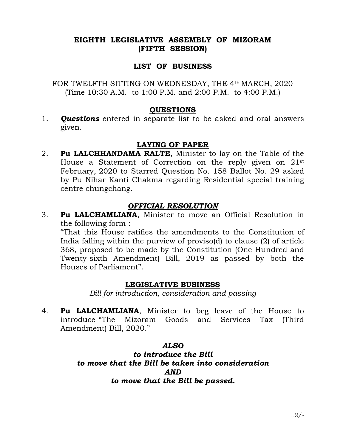# EIGHTH LEGISLATIVE ASSEMBLY OF MIZORAM (FIFTH SESSION)

## LIST OF BUSINESS

FOR TWELFTH SITTING ON WEDNESDAY, THE 4th MARCH, 2020 (Time 10:30 A.M. to 1:00 P.M. and 2:00 P.M. to 4:00 P.M.)

#### QUESTIONS

1. **Ouestions** entered in separate list to be asked and oral answers given.

## LAYING OF PAPER

2. Pu LALCHHANDAMA RALTE, Minister to lay on the Table of the House a Statement of Correction on the reply given on 21st February, 2020 to Starred Question No. 158 Ballot No. 29 asked by Pu Nihar Kanti Chakma regarding Residential special training centre chungchang.

# OFFICIAL RESOLUTION

3. Pu LALCHAMLIANA, Minister to move an Official Resolution in the following form :-

 "That this House ratifies the amendments to the Constitution of India falling within the purview of proviso(d) to clause (2) of article 368, proposed to be made by the Constitution (One Hundred and Twenty-sixth Amendment) Bill, 2019 as passed by both the Houses of Parliament".

## LEGISLATIVE BUSINESS

Bill for introduction, consideration and passing

4. **Pu LALCHAMLIANA**, Minister to beg leave of the House to introduce "The Mizoram Goods and Services Tax (Third Amendment) Bill, 2020."

# ALSO

to introduce the Bill to move that the Bill be taken into consideration AND to move that the Bill be passed.